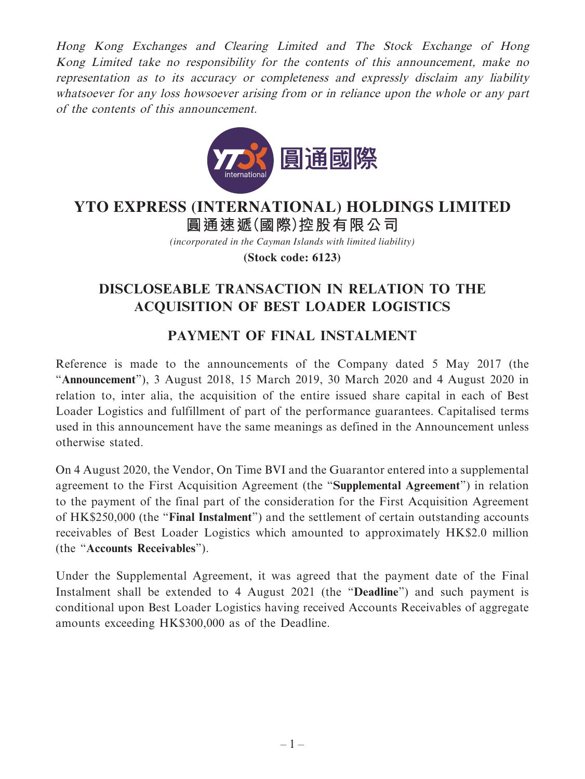Hong Kong Exchanges and Clearing Limited and The Stock Exchange of Hong Kong Limited take no responsibility for the contents of this announcement, make no representation as to its accuracy or completeness and expressly disclaim any liability whatsoever for any loss howsoever arising from or in reliance upon the whole or any part of the contents of this announcement.



## **圓通速遞(國際)控股有限公司 YTO EXPRESS (INTERNATIONAL) HOLDINGS LIMITED**

*(incorporated in the Cayman Islands with limited liability)*

**(Stock code: 6123)**

## **DISCLOSEABLE TRANSACTION IN RELATION TO THE ACQUISITION OF BEST LOADER LOGISTICS**

## **PAYMENT OF FINAL INSTALMENT**

Reference is made to the announcements of the Company dated 5 May 2017 (the "**Announcement**"), 3 August 2018, 15 March 2019, 30 March 2020 and 4 August 2020 in relation to, inter alia, the acquisition of the entire issued share capital in each of Best Loader Logistics and fulfillment of part of the performance guarantees. Capitalised terms used in this announcement have the same meanings as defined in the Announcement unless otherwise stated.

On 4 August 2020, the Vendor, On Time BVI and the Guarantor entered into a supplemental agreement to the First Acquisition Agreement (the "**Supplemental Agreement**") in relation to the payment of the final part of the consideration for the First Acquisition Agreement of HK\$250,000 (the "**Final Instalment**") and the settlement of certain outstanding accounts receivables of Best Loader Logistics which amounted to approximately HK\$2.0 million (the "**Accounts Receivables**").

Under the Supplemental Agreement, it was agreed that the payment date of the Final Instalment shall be extended to 4 August 2021 (the "**Deadline**") and such payment is conditional upon Best Loader Logistics having received Accounts Receivables of aggregate amounts exceeding HK\$300,000 as of the Deadline.